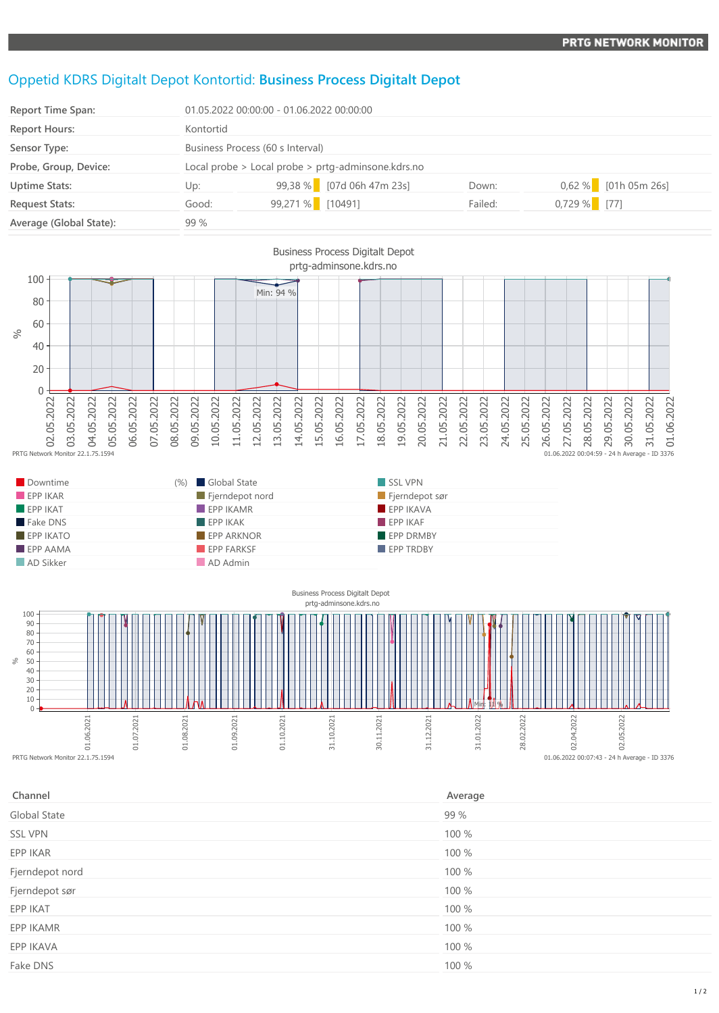## Oppetid KDRS Digitalt Depot Kontortid: **Business Process Digitalt Depot**

| <b>Report Time Span:</b> | 01.05.2022 00:00:00 - 01.06.2022 00:00:00 |                                                    |         |                        |  |
|--------------------------|-------------------------------------------|----------------------------------------------------|---------|------------------------|--|
| <b>Report Hours:</b>     | Kontortid                                 |                                                    |         |                        |  |
| Sensor Type:             |                                           | Business Process (60 s Interval)                   |         |                        |  |
| Probe, Group, Device:    |                                           | Local probe > Local probe > prtg-adminsone.kdrs.no |         |                        |  |
| <b>Uptime Stats:</b>     | Up:                                       | 99,38 % [07d 06h 47m 23s]                          | Down:   | $0,62\%$ [01h 05m 26s] |  |
| <b>Request Stats:</b>    | Good:                                     | 99,271 % [10491]                                   | Failed: | $0,729\%$ [77]         |  |
| Average (Global State):  | 99 %                                      |                                                    |         |                        |  |



| Downtime                | (%) Global State  | SSL VPN          |  |
|-------------------------|-------------------|------------------|--|
| EPPIKAR                 | Fjerndepot nord   | Fjerndepot sør   |  |
| EPPIKAT                 | $EPP$ IKAMR       | EPPIKAVA         |  |
| Fake DNS                | EPPIKAK           | FPPIKAF          |  |
| $EPP$ IKATO             | <b>EPP ARKNOR</b> | <b>EPP DRMBY</b> |  |
| $\blacksquare$ EPP AAMA | <b>EPP FARKSF</b> | <b>EPP TRDBY</b> |  |
| AD Sikker               | AD Admin          |                  |  |



| Channel         | Average |
|-----------------|---------|
| Global State    | 99 %    |
| <b>SSL VPN</b>  | 100 %   |
| EPP IKAR        | 100 %   |
| Fjerndepot nord | 100 %   |
| Fjerndepot sør  | 100 %   |
| EPP IKAT        | 100 %   |
| EPP IKAMR       | 100 %   |
| EPP IKAVA       | 100 %   |
| Fake DNS        | 100 %   |
|                 |         |